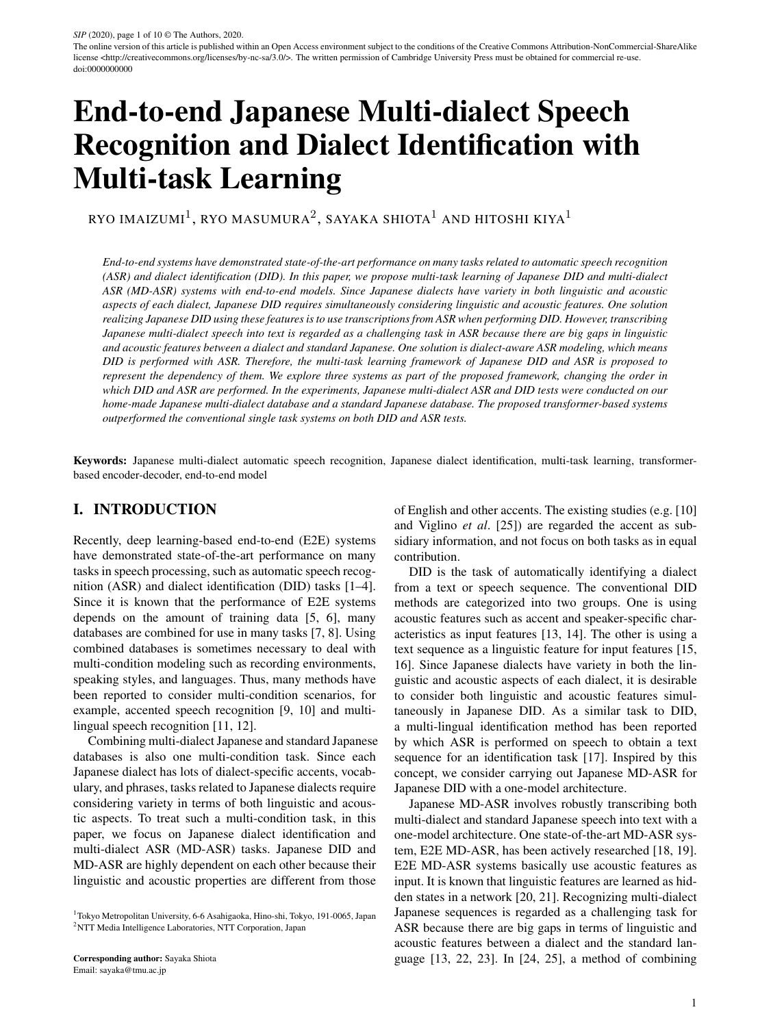The online version of this article is published within an Open Access environment subject to the conditions of the Creative Commons Attribution-NonCommercial-ShareAlike license <http://creativecommons.org/licenses/by-nc-sa/3.0/>. The written permission of Cambridge University Press must be obtained for commercial re-use. doi:0000000000

# End-to-end Japanese Multi-dialect Speech Recognition and Dialect Identification with Multi-task Learning

RYO IMAIZUMI $^1$ , RYO MASUMURA $^2$ , SAYAKA SHIOTA $^1$  AND HITOSHI KIYA $^1$ 

*End-to-end systems have demonstrated state-of-the-art performance on many tasks related to automatic speech recognition (ASR) and dialect identification (DID). In this paper, we propose multi-task learning of Japanese DID and multi-dialect ASR (MD-ASR) systems with end-to-end models. Since Japanese dialects have variety in both linguistic and acoustic aspects of each dialect, Japanese DID requires simultaneously considering linguistic and acoustic features. One solution realizing Japanese DID using these features is to use transcriptions from ASR when performing DID. However, transcribing Japanese multi-dialect speech into text is regarded as a challenging task in ASR because there are big gaps in linguistic and acoustic features between a dialect and standard Japanese. One solution is dialect-aware ASR modeling, which means DID is performed with ASR. Therefore, the multi-task learning framework of Japanese DID and ASR is proposed to represent the dependency of them. We explore three systems as part of the proposed framework, changing the order in which DID and ASR are performed. In the experiments, Japanese multi-dialect ASR and DID tests were conducted on our home-made Japanese multi-dialect database and a standard Japanese database. The proposed transformer-based systems outperformed the conventional single task systems on both DID and ASR tests.*

Keywords: Japanese multi-dialect automatic speech recognition, Japanese dialect identification, multi-task learning, transformerbased encoder-decoder, end-to-end model

## I. INTRODUCTION

Recently, deep learning-based end-to-end (E2E) systems have demonstrated state-of-the-art performance on many tasks in speech processing, such as automatic speech recognition (ASR) and dialect identification (DID) tasks [1–4]. Since it is known that the performance of E2E systems depends on the amount of training data [5, 6], many databases are combined for use in many tasks [7, 8]. Using combined databases is sometimes necessary to deal with multi-condition modeling such as recording environments, speaking styles, and languages. Thus, many methods have been reported to consider multi-condition scenarios, for example, accented speech recognition [9, 10] and multilingual speech recognition [11, 12].

Combining multi-dialect Japanese and standard Japanese databases is also one multi-condition task. Since each Japanese dialect has lots of dialect-specific accents, vocabulary, and phrases, tasks related to Japanese dialects require considering variety in terms of both linguistic and acoustic aspects. To treat such a multi-condition task, in this paper, we focus on Japanese dialect identification and multi-dialect ASR (MD-ASR) tasks. Japanese DID and MD-ASR are highly dependent on each other because their linguistic and acoustic properties are different from those

of English and other accents. The existing studies (e.g. [10] and Viglino *et al*. [25]) are regarded the accent as subsidiary information, and not focus on both tasks as in equal contribution.

DID is the task of automatically identifying a dialect from a text or speech sequence. The conventional DID methods are categorized into two groups. One is using acoustic features such as accent and speaker-specific characteristics as input features [13, 14]. The other is using a text sequence as a linguistic feature for input features [15, 16]. Since Japanese dialects have variety in both the linguistic and acoustic aspects of each dialect, it is desirable to consider both linguistic and acoustic features simultaneously in Japanese DID. As a similar task to DID, a multi-lingual identification method has been reported by which ASR is performed on speech to obtain a text sequence for an identification task [17]. Inspired by this concept, we consider carrying out Japanese MD-ASR for Japanese DID with a one-model architecture.

Japanese MD-ASR involves robustly transcribing both multi-dialect and standard Japanese speech into text with a one-model architecture. One state-of-the-art MD-ASR system, E2E MD-ASR, has been actively researched [18, 19]. E2E MD-ASR systems basically use acoustic features as input. It is known that linguistic features are learned as hidden states in a network [20, 21]. Recognizing multi-dialect Japanese sequences is regarded as a challenging task for ASR because there are big gaps in terms of linguistic and acoustic features between a dialect and the standard language [13, 22, 23]. In [24, 25], a method of combining

<sup>1</sup>Tokyo Metropolitan University, 6-6 Asahigaoka, Hino-shi, Tokyo, 191-0065, Japan <sup>2</sup>NTT Media Intelligence Laboratories, NTT Corporation, Japan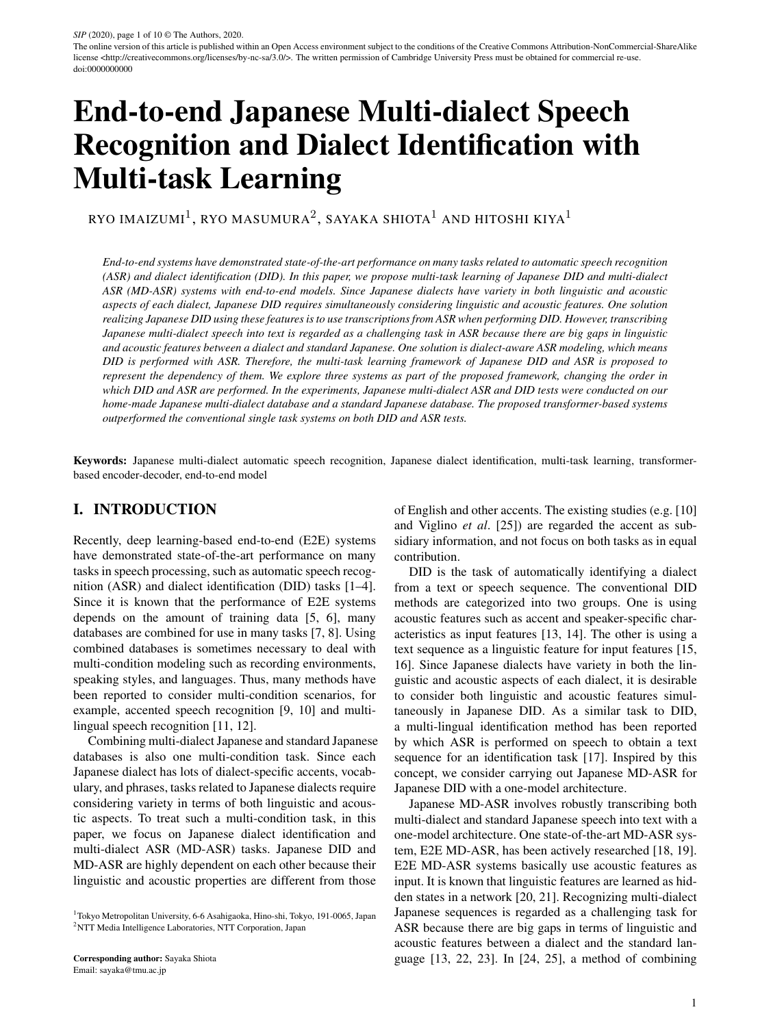accent identification with accent speech recognition was reported to alleviate the big gap for acoustic features. Since the task is similar to Japanese MD-ASR, Japanese DID is also useful when combined with Japanese MD-ASR.

To joint model Japanese DID and MD-ASR, we propose E2E models with multi-task learning with Japanese DID and MD-ASR to utilize dialect information and text sequences, simultaneously. In this paper, we propose multitask learning of Japanese DID and multi-dialect ASR (MD-ASR) systems with end-to-end models, changing the order in which DID and MD-ASR is performed. The first system, called "DID2ASR," performs DID and MD-ASR in a series to influence an estimated dialect in word sequence estimation. It means DID2ASR performs ASR with a dialect-aware condition. DID2ASR is similar to performing DID then performing MD-ASR constructed for a dialect. The second system, called "ASR2DID," involves reversing the order of MD-ASR and DID from the first system. Since DID of ASR2DID can consider the text information of MD-ASR more effectively than the first system, the performance of the DID should be higher than that of the first system. As a similar concept to ASR2DID, the third system, called "DID+ASR," performs DID and MD-ASR simultaneously. DID+ASR is different in terms of the representation of the dialect label, which is represented by a probability distribution of registered dialects, while DID2ASR and ASR2DID select one dialect. Since the three proposed systems perform DID and MD-ASR in a multi-task manner, the dependency of DID and MD-ASR is maintained in modeling the network. Therefore, it is possible to improve the performance on both DID and MD-ASR tasks. In our experiments, a home-made database consisting of six Japanese dialects and a standard Japanese database were used for constructing transformer-based multi-task models. From the results, on the Japanese MD-ASR task, we demonstrate that DID+ASR outperformed the conventional multi-condition modeling and achieved an error reduction of 9.9%. On the Japanese DID task, ASR2DID improved the identification accuracy by 15.3% compared with the conventional system.

This paper is organized as follows. Section II describes the motivation for using multiple dialects, E2E Japanese DID, and E2E ASR. Section III explains the transformerbased network architecture. Then, the proposed methods are presented in Section IV. Experimental conditions and results are shown in Section V. Finally, Section VI concludes our work.

## II. CHALLENGES WITH MULTI-DIALECT JAPANESE

### A) Motivation for using Multi-dialect Japanese Data

There are more than 100 different dialects across Japan [26]. Each of them has many dialect-specific accents, vocabularies, and phrases (see Appendix). For example, the

English word "I" is translated into "wa-ta-shi" in standard Japanese. In the case of the dialect of Sendai Prefecture, "I" is translated into "o-ra." Like this example, there are many cases in which the meaning of a word is the same in a dialect and standard Japanese, but the pronunciations are completely different. In other cases, the majority of the sentence is the same as in standard Japanese, but only the end of the sentence has a unique feature in the dialect (see comparison of Hiroshima with standard Japanese in Appendix). Additionally, some vocabulary and phrases are found only in certain dialects. It is known that when dialects are mixed with standard Japanese for identification or recognition tasks, the performance deteriorates because dialects have different features from standard Japanese. Therefore, it is important to deal with acoustic and linguistic information adequately for tasks related to multiple Japanese dialect. Therefore, it is important to deal with acoustic and linguistic information adequately for tasks related to multiple Japanese dialects. Since the multi-task learning-based models for similar tasks such as accented speech recognition treat another task to ASR like subsidiary information, the importance both of acoustic and linguistic information is different point from the similar tasks.

#### B) E2E Japanese Dialect Identification

This section describes two conventional models of DID. One model predicts the probability of generating a dialect label *l* from a speech sequence  $X = f x_1$ ; :::;  $x_M g$ , where  $x_m$  is the *m*-th acoustic feature in speech. The other model predicts the probability of generating dialect label / from a text sequence  $(X) = (fx_1; \dots; x_Mg)$ . Let  $(X)$  be the text obtained by ASR (). M is the number of acoustic features in speech. In the case of using dialect speech as input, DID models using sequence-to-one neural networks define the identification probability of l as  $P(I|X)$  did), where did represents a model of DID parameter sets. In the case of using text as input, the identification probability of a dialect label *l* is defined as  $P(I_i \mathbf{X})$ ; did). In the Japanese DID, a whole model parameter set can be optimized from speech-to-label paired data:

$$
D = f(\mathbf{X}^1; \mathbf{1}^1); \dots; (\mathbf{X}^T; \mathbf{1}^T)g; \tag{1}
$$

where  $\bar{T}$  is the number of utterances in a training data set. The objective function of the model for identification is defined as

$$
L_{\text{did}}( \quad_{\text{did}}) = \sum_{t=1}^{N} \log P(I^t j \mathbf{X}^t; \quad_{\text{did}}): \qquad (2)
$$

Since Japanese dialects have variety in terms of both the linguistic and acoustic aspects of each dialect, it is not sufficient to use only linguistic or acoustic features for Japanese DID.

#### C) E2E Japanese ASR

This section describes a model for E2E Japanese ASR. This model predicts the generation probability of a text sequence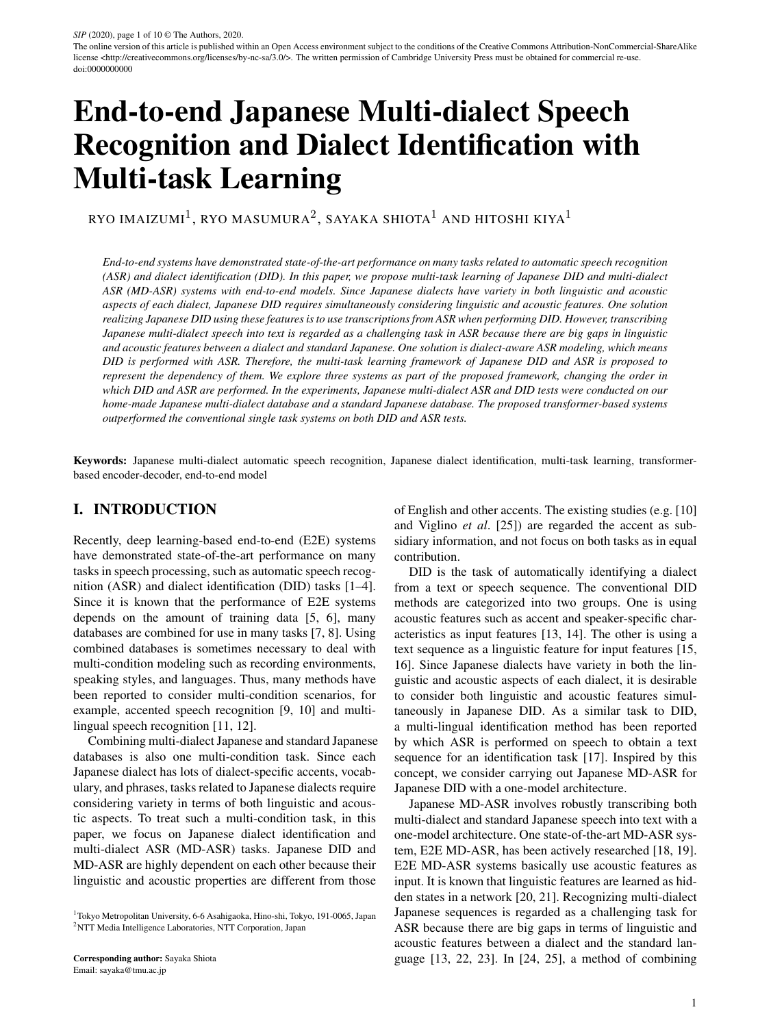W given a speech sequence  $X$ , where  $W<sub>n</sub>$  is the *n*-th token in the text. N is the number of tokens in the text. Auto-regressive generative models define the generation probability of W as

$$
P(\boldsymbol{W}/\boldsymbol{X}) = \bigvee_{n=1}^{W} P(w_n/\boldsymbol{W}_{1:n-1}; \boldsymbol{X}) \quad \text{asr}(3)
$$

where  $W_{1:n-1} = fw_1$ ;  $w_{n-1}g$  and as represents a model of ASR parameter sets. In E2E ASR, a model parameter set can be optimized from the utterance-level labeled data (speech-to-text paired data) as

$$
D = f(\mathbf{X}^1; \mathbf{W}^1); \dots; (\mathbf{X}^T; \mathbf{W}^T)g; \tag{4}
$$

where  $\bar{T}$  is the number of utterances in the training data set. The objective function of ASR, based on maximum likelihood estimation, is defined as

$$
L_{\text{asr}}( \quad_{\text{asr}}) = \frac{\chi \chi^{t}}{t=1 \, n=1} \tag{5}
$$
\n
$$
\log P(w_{n}^{t}/W_{1:n-1}^{t}, \chi^{t}, \quad_{\text{asr}});
$$

where  $w_n^t$  is the *n*-th token for the *t*-th utterance, and  $W_{1:n-1}^t = \frac{f w_1^t}{\cdots} W_{n-1}^t g$ . N<sup>t</sup> is the number of tokens for the t-th utterance.

Recognizing Japanese multi-dialect sequences is regarded as a challenging task for ASR because there are big gaps in terms of linguistic and acoustic features between a dialect and standard Japanese. Therefore, it is desirable to use the acoustic features of dialects obtained by DID for ASR.

## III. TRANSFORMER-BASED NETWORK ARCHITECTURE

This section describes a general transformer-based E2E model [27, 28]. The transformer-based model has an encoder and a decoder that are composed of several transformer blocks. The DID system uses dialect identification instead of a text decoder to calculate  $P(I|X; )$ as a sequence-to-one model, while the ASR system uses a speech encoder and a text decoder as a sequence-tosequence model to calculate  $P(W|X)$ . For DID systems, the model of parameter sets is split into a speech encoder  $_{\text{enc}}$  and dialect identification  $_{\text{id}}$ . For ASR systems, the model of parameter sets is split into a speech encoder  $_{\text{enc}}$  and a text decoder  $_{\text{dec}}$ .

Speech encoder: The speech encoder converts input acoustic features into hidden representations  $H^{(1)}$  using I transformer encoder blocks. The *i*-th transformer encoder block composes the *i*-th hidden representations  $H^{(i)}$  from the lower layer inputs  $H^{(i-1)}$  as indicated by

$$
H^{(i)} = \text{TransformerEncoderBlock}(H^{(i-1)}; \text{enc})
$$
 (6)

where TransformerEncoderBlock() is a transformer encoder block that consists of a scaled dot-product multi-head

self-attention layer and a position-wise feed-forward network. The hidden representation  $H^{(0)} = f h_1^{(0)}$ ; ...;  $h_{M'}^{(0)}$ is produced by

$$
\boldsymbol{h}_{m'}^{(0)} = \text{AddPositionalEncoding}(\boldsymbol{h}_{m'}); \quad (7)
$$

where AddPositionalEncoding() is a function that adds a continuous vector in which position information is embedded.  $H = fh_1$ ; :::;  $h_{M'} g$  is produced by

$$
H = ConvolutionPooling(x_1; ...; x_{M'}; \text{ enc}); \quad (8)
$$

where ConvolutionPooling() is a function composed of convolution layers and pooling layers.  $M^{\theta}$  is the subsampled sequence length, which depends on the function.

Dialect identification: In dialect identification, a hidden representation  $H$ , which is the output of the speech encoder, is used as input, and the generation probability of the dialect label *l* is calculated by the following equation as

$$
P(I/\mathbf{X})_{\text{enc}} / \mathbf{d} = \text{Softmax}(\mathbf{s}/\mathbf{d}) / \tag{9}
$$

$$
s = \text{Attention}(H^{(1)}; \text{ id})
$$
 (10)

The attention function is a layer of the attention mechanism that tries and weighs the importance of hidden representations. A softmax function is applied to the output s of the attention layer to calculate the predicted probability of a label.

Text decoder: The text decoder computes the generation probability of a token from preceding tokens and the hidden representations of speech. The predicted probabilities of the *n*-th token  $W<sub>n</sub>$  are calculated as

$$
P(w_n|W_{1:n-1}; X)_{\text{enc}}; \text{ dec}) = \text{Softmax}(\boldsymbol{u}_{n-1}^{(J)}; \text{ dec});
$$
\n(11)

where Softmax() is a softmax layer with a linear transformation. The input hidden vector  $u_{n-1}^{(J)}$  is computed from  $J$ transformer decoder blocks. The j-th transformer decoder block composes the *j*-th hidden representation  $u_n^{(j)}$  from the lower inputs  $U_{1:n-1}^{(j-1)} = \overline{r}u_1^{(j-1)}$ ; ...;  $u_{n-1}^{(j-1)}g$  as

$$
\boldsymbol{u}_{n-1}^{(j)} = \text{TransformerDecoderBlock}(\boldsymbol{U}_{1:n-1}^{(j-1)}, \boldsymbol{H}^{(I)}, \text{}_{\text{dec}});
$$
\n(12)

where TransformerDecoderBlock() is a transformer decoder block that consists of a scaled dot-product multi-head self-attention layer, a scaled dot-product multi-head source-target attention layer, and a position-wise feedforward network. The hidden representation  $U_{1:n-1}^{(0)}$  =  $f\mathbf{u}_1^{(0)}$ ; :::;  $\mathbf{u}_n^{(0)}$  1 g is produced by

$$
\boldsymbol{u}_{n-1}^{(0)} = \text{AddPositionalEncoding}(\boldsymbol{w}_{n-1});\qquad(13)
$$

$$
w_{n-1} = \text{Embedding}(w_{n-1}; \text{ dec}); \qquad (14)
$$

where Embedding() is a linear layer that embeds an input token into a continuous vector.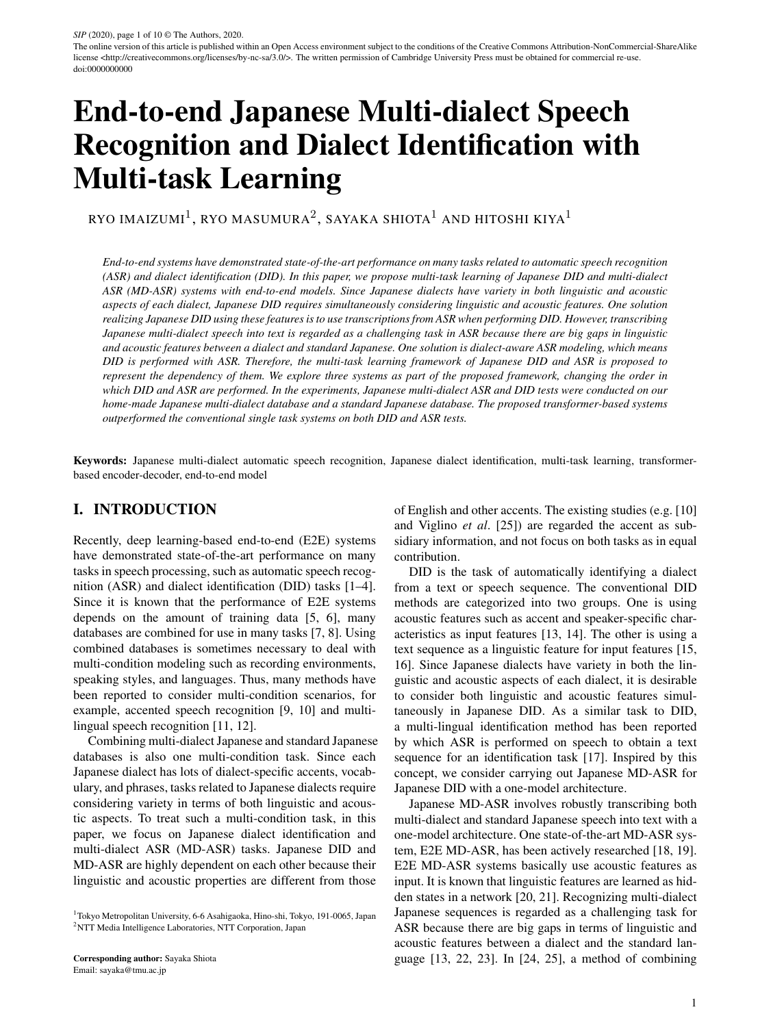

Fig. 1. Network architecture of transformer-based ASR model



Fig. 2. Network architecture of transformer-based DID model using speech features as input



Fig. 3. Part of network architecture of transformer-based DID model using text features as input, applicable to red dashed-line box of Fig. 2

## IV. MULTI-TASK LEARNING OF JAPANESE DID AND MD-ASR

#### A) Serial estimation (DID2ASR)

This section describes the transformer-based system in DID2ASR. This system focuses on estimating a word sequence by using estimated dialect information. DID2ASR is defined by adding a dialect label  $d$  and a text sequence W to the conventional ASR model  $P(I|X; )$ .



Fig. 4. Network architecture of multi-task learning systems performing DID and MD-ASR in series (DID2ASR)



Fig. 5. Part of network architecture of multi-task learning systems performing MD-ASR and DID in series (ASR2DID), applicable to red dashed-line box of Fig. 4

The dialect label " $d$ " is regarded as one token. The generation probability is redefined as

$$
P(W; djX; ) = P(WjX; d; )P(djX; )
$$
  
=  $P(ZjX; )$  (15)

$$
P(ZjX; ) = \bigvee_{n=0}^{M} P(z_n j Z_{1:n-1}; X; )
$$
 (16)

where  $Z$  is a concatenated sequence that is defined as  $Z = \overline{f}d$ ;  $W_1$ ; :::;  $W_N q$ . Figure 4 shows a network architecture for DID2ASR. The architecture of the speech encoder is the same as the general transformer-based E2E ASR described in Section III. As shown in Fig. 4, the text decoder of DID2ASR is essentially the same as the general transformer-based E2E ASR, although the softmax function is used to calculate the generation probability of the dialect label  $d$  and text  $W$ . The model parameter set can be optimized from a set of speech, dialect label, and text as

$$
D_{\text{mtl}} = f(\boldsymbol{X}^1; \boldsymbol{d}^1; \boldsymbol{W}^1); \dots; (\boldsymbol{X}^T; \boldsymbol{d}^T; \boldsymbol{W}^T)g; \qquad (17)
$$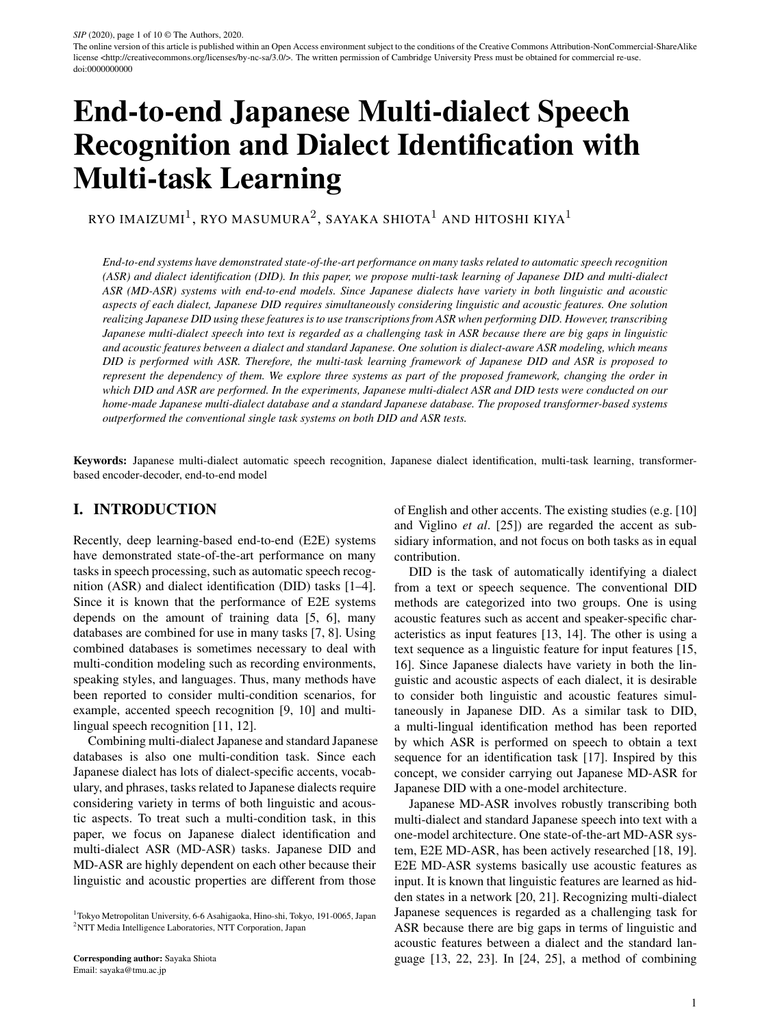The objective function used in the proposed method is defined as

$$
L_{\text{D2A}}(\text{enc. dec}) = \frac{\cancel{\mathcal{X}}}{t=1} \log P(\mathbf{W}^t; d^t \mathbf{X}^t; \text{enc. dec})
$$

$$
= \frac{\cancel{\mathcal{X}} \cdot \cancel{\mathcal{X}}^{t_j}}{\log P(z^t \cdot \cancel{z}^t_{1:n-1}; \mathbf{X}^t; \text{enc. dec})}
$$

$$
= \frac{\cancel{\mathcal{X}} \cdot \cancel{\mathcal{X}}^{t_j}}{t=1 \ n=1}
$$
(18)

By optimizing with dialect labels, speech text, and generation probabilities, dialect-specific characteristics are clearly recognized, and this helps in estimating models without dialect-specific confusion. Since DID2ASR treats dialect labels uniquely, the MD-ASR performance of the direct modeling method depends on the accuracy of the DID.

#### B) Serial estimation (ASR2DID)

Next, we propose ASR2DID to reverse the order of MD-ASR and DID in DID2ASR. In ASR2DID, the generation probability is redefined as

$$
P(W; djX; ) = P(WjX; )P(djX; W; )
$$
  
= 
$$
P(YjX; )
$$
  
(19)

where  $Y$  is a concatenated sequence that is defined as  $Y = f w_0$ ; :::;  $w_{N-1}$ ; dg. The objective function used in the proposed method is defined as

$$
L_{A2D}(\text{enc. dec}) = \frac{\cancel{\times}}{t=1} \log P(W^t; d^t/\cancel{\times}^t; \text{enc. dec})
$$

$$
= \frac{\cancel{\times}^T \cancel{\times}^{t_j}}{t=1} \log P(y^t \cancel{n}/Y^t_{1:n-1}/\cancel{\times}^t; \text{enc. dec})
$$

$$
= (20)
$$

This means that ASR2DID changes only a part of the text decoder of DID2ASR, applying Fig. 5 to the red dashedline box in Fig. 4. The DID of ASR2DID should perform better than that of DID2ASR because the DID is performed with an estimated word sequence as a linguistic feature.

#### C) Joint estimation (DID+ASR)

As the third proposed method, we propose joint estimation of DID and ASR in one network, called "DID+ASR." The concept of DID+ASR is similar to ASR2DID. However, the dialect information of DID+ASR is represented by a probability distribution of registered dialects, whereas DID2ASR and ASR2DID use one dialect label. In DID+ASR, a phoneme sequence and probability distribution of dialects can be predicted from input speech. The difference from Section IV.A IV.B is that the generation probabilities of the dialect label  $d$  and  $W$  are independent, and dialect information is represented in a probability distribution. The generation probability of dialect label  $d$  and



Fig. 6. Network architecture of multi-task learning systems with joint DID and ASR (DID+ASR)

W is redefined as

$$
P(\boldsymbol{W};d\boldsymbol{X};\quad)=P(\boldsymbol{W}\boldsymbol{X};\quad)P(d\boldsymbol{X};\quad)\boldsymbol{.}\qquad(21)
$$

The architecture of DID+ASR is a combination of the speech encoder, text decoder, and identification used in Section III.

We use the same training data described in eq. (17) to optimize the DID+ASR model. The objective function of the model for identification is defined as

$$
L(\text{enc } id \text{ ide}) =
$$
  
 
$$
L_{\text{mle}}(\text{enc } id) + L_{\text{id}}(\text{enc } id); (22)
$$

where and are the loss weights for ASR and DID. Figure 6 shows the network architecture of DID+ASR. The difference from the general transformer, E2E MD-ASR, is the added DID part. Since the dialect label is regarded as a probability distribution, the degree of dialect-specific information can be recognized, and both multi-dialect data and standard Japanese data can be utilized effectively.

#### V. EXPERIMENTS

#### A) Database

A home-made speech database of Japanese dialects [13] and a database of standard Japanese were used in all experiments. The dialect database consisted of six dialects: Aomori, Hiroshima, Kumamoto, Nagoya, Sapporo, and Sendai. The numbers of training and test utterances were 89,817 and 7,450, respectively. Details on the database are shown in Table 1. The OOV was replaced with an UNK label. The OOV rate was 0:00011%. Details on the database are shown in Table 1. The gender ratios of the speakers for each dialect were almost the same. Each dialect utterance was recorded by using an iPhone 5 or an Xperia Z1. The length of each dialect utterance was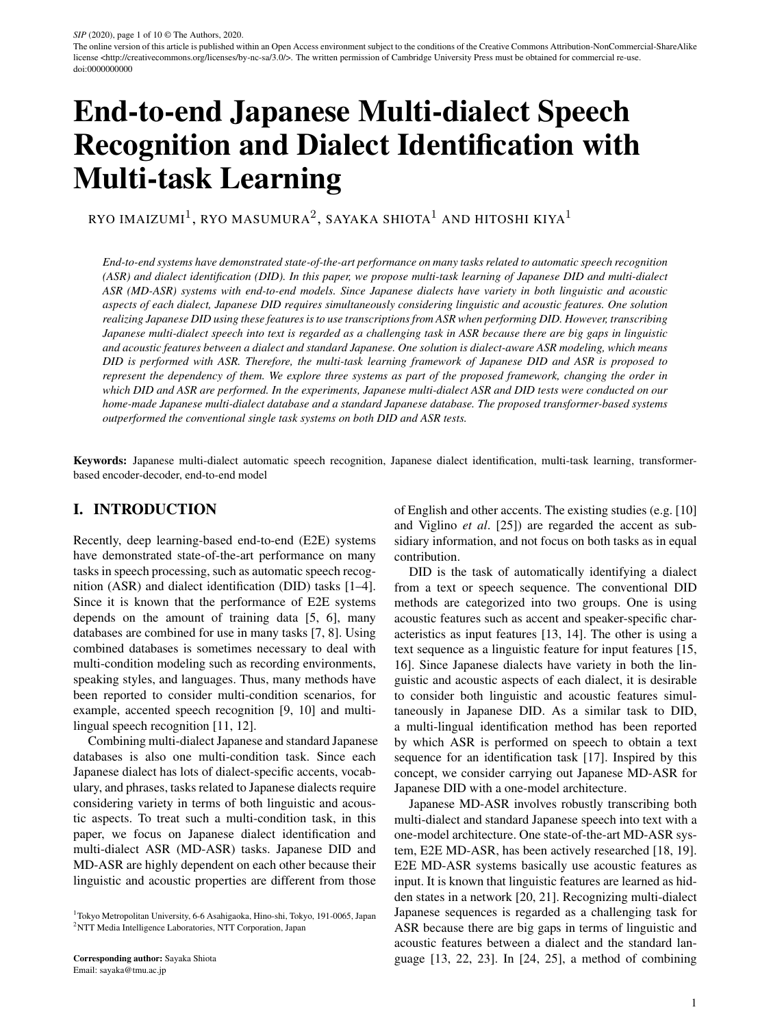|                |                  |        | Train     |      | Valid   | <b>Test</b> | A11      |        |
|----------------|------------------|--------|-----------|------|---------|-------------|----------|--------|
|                |                  | Utt    | Time      | Utt  | Time    | Utt         | Time     |        |
|                | Aomori           | 10741  | 21:42:17  | 676  | 1:04:54 | 676         | 1:03:43  | 12093  |
|                | Hiroshima        | 18670  | 35:30:57  | 566  | 1:03:25 | 567         | 1:02:44  | 19803  |
| <b>Dialect</b> | Kumamoto         | 9328   | 19:20:09  | 719  | 1:13:08 | 719         | 1:13:25  | 10766  |
|                | Nagoya           | 18611  | 31:35:39  | 551  | 1:07:13 | 550         | 1:07:40  | 19712  |
|                | Sapporo          | 15955  | 32:11:43  | 678  | 1:11:24 | 678         | 1:11:35  | 17311  |
|                | Sendai           | 16512  | 35:54:01  | 535  | 1:09:13 | 535         | 1:09:53  | 17582  |
| Total          |                  | 89817  | 176:14:46 | 3725 | 6:49:17 | 3724        | 6:49:10  | 97267  |
| Standard       |                  | 162243 | 290       | 1292 | 2:20    | 2573        | 5:00     | 166108 |
|                | Dialect+Standard | 252060 | 466:14:46 | 5017 | 9:19:17 | 6297        | 11:49:10 | 263375 |

Table 1. Number of utterances and times for each dialect and standard Japanese

about 7 seconds, and the content of the dialect database was daily conversations. For the standard Japanese database, the Corpus of Spontaneous Japanese (CSJ) [29], consisting of academic lectures and simulated public speeches, was used. The numbers of training and test utterances were 162,243 and 3,865, respectively. The number of male speakers was about double that of female speakers. Both databases were sampled at 16 kHz and quantized to 16 bit. All transcriptions of both databases were hand-labeled.

#### B) Experiment conditions

The transformer-based E2E ASR and E2E DID described in Section III was used as a conventional model. Therefore, the main architectures of the proposed models and the conventional one were the same, and the common parts of the architectures were set as follows. The transformer network consisted of eight encoder blocks and six decoder blocks. All functions used in the transformer networks were implemented in accordance with [27]. Regarding the composition of the transformer blocks, the dimension of the continuous vector was 256, the dimension of the inner outputs in the position-wise feed-forward networks was 2,048, and the number of attention heads was set to 4. The parameters for the speech encoder and the text decoder were the same as in [13]. For the DID of DID+ASR, a seven-dimensional vector consisting of six dialects and standard Japanese language was outputted from the softmax layer. As the predict labels, six dialect labels; <aom>, <hir>, <kum>, <nag>, <sap>, <sen>and one standard language label; <jap>were settled. In the prediction part of the dialect label, one label was selected as a dialect token from the seven labels. The unit of tokens was represented as a character. In ASR decoding, all characters were used for the selection of a token. The objective function of multi-task learning was cross-entropy loss. The loss of the MD-ASR and DID weight, and , were set to 1 and 0.01, respectively. For DID2ASR and ASR2DID, dialect labels were put in the embedding layer and treated as a 256-dimensional vector. In the MD-ASR case, as a training set, three types of training data were prepared: dialect only, standard Japanese only, and joint data of dialect and standard Japanese. There were three sets of test data: dialect only, standard Japanese only, and joint data of dialect and

Table 2. ACCs (%) of conventional and proposed methods for DID

|                              | <b>ACC</b> |
|------------------------------|------------|
| Conventional method (speech) | 71.2       |
| Conventional method (text)   | 53.3       |
| DID <sub>2</sub> ASR         | 83.1       |
| <b>ASR2DID</b>               | 86.5       |
| DID+ASR                      | 81.8       |

standard Japanese. As methods to be compared, we adopted three types of training data for the conventional method, and only the joint data was adopted for the proposed methods. For DID2ASR, since dialect labels were estimated, the performance depended on the accuracy of the DID. Therefore, as a method for comparison, a case where all identifications were correct was prepared as an oracle. In the DID case, the character error rate (CER) was used to evaluate ASR, and accuracy (ACC) was used to evaluate the DID of the proposed methods.

$$
CER = (1 \quad \frac{COR \quad INS}{TOTAL}) \quad 100\,(\%) \tag{23}
$$

$$
\text{ACC} = \frac{\text{\# of correct less}}{\text{\# of total less}} \quad 100\ (\%)\text{;} \tag{24}
$$

where COR and INS were the numbers of correct characters and inserted characters, respectively. TOTAL was the total number of characters. In the case of ASR+DID, the highest probability in the output of the softmax layer for dialect identification was selected to calculate ACC.

#### C) Results

Table 2 shows the ACCs of the conventional and proposed methods. There were two versions of the conventional method, one using speech as an input feature and one using text, and they both performed insufficiently, 71.2% and 53.3%, respectively. As described in Sections II.A and II.B, this is because Japanese dialects have unique information in terms of both acoustic and linguistic aspects, and using one side as input features did not lead to good performance. In comparison, the ACCs of three proposed methods were improved compared with two conventional methods. Compared ACC of DID2ASR, 83.1%, with that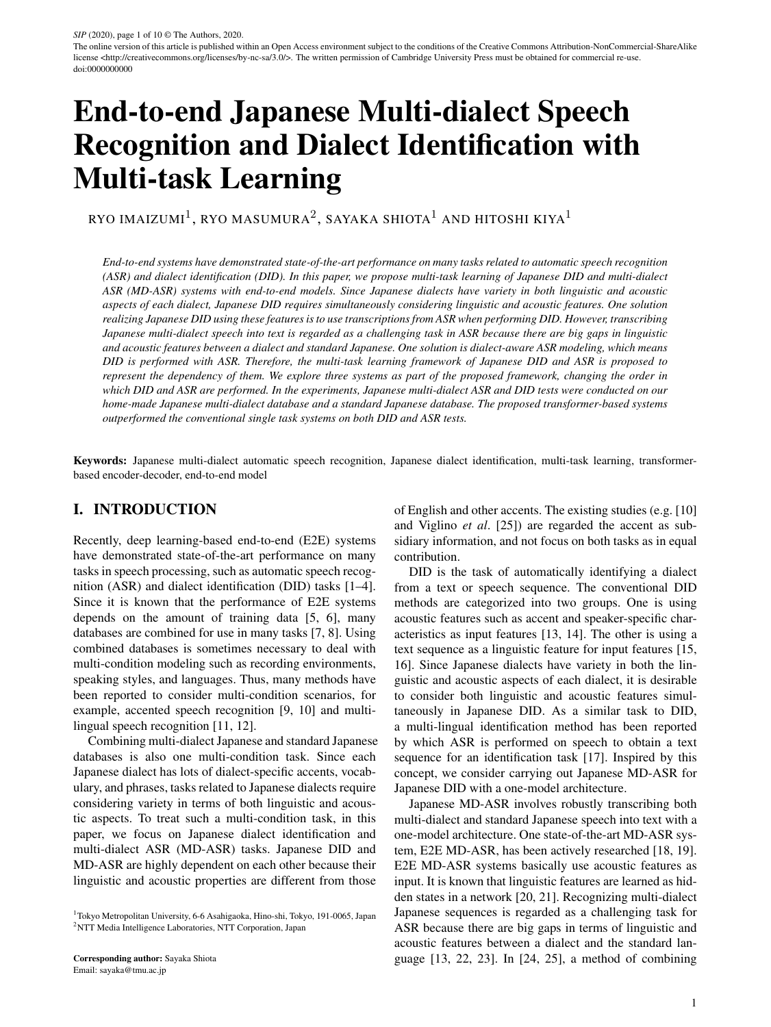|                               | Training           | <b>Dialect</b> | Standard         | Dialect+Standard |
|-------------------------------|--------------------|----------------|------------------|------------------|
|                               | Dialect only       | 52.9           | 100 <sup>†</sup> | 1001             |
| Conventional method           | Standard only      | 52.5           | 14.3             | 64.7             |
|                               | Dialect + Standard | 8.0            | 14.9             | 11.1             |
| DID <sub>2</sub> ASR          | Dialect + Standard | 8.4            | 14.2             | 11.0             |
| DID <sub>2</sub> ASR (oracle) | Dialect + Standard | 7.3            | 14.2             | 10.4             |
| ASR <sub>2</sub> DID          | Dialect + Standard | 7.0            | 14.5             | 10.4             |
| DID+ASR                       | Dialect + Standard | 7.2            | 13.4             | 10.0             |

Table 3. CERs (%) of conventional and proposed methods for each combination of databases for MD-ASR

Table 4. CERs (%) of proposed methods in case of correct or incorrect DID

|           |     |      | DID2ASR ASR2DID DID+ASR |
|-----------|-----|------|-------------------------|
| Correct   | 5.0 |      |                         |
| Incorrect | 140 | 12.8 |                         |

Table 5. CERs (%) of conventional and proposed methods trained with the joint training data (Dialect+Standard), except for Kumamoto data. Kumamoto dialect was regarded as an unknown dialect. The joint test data (Dialect+Standard) excluding Kumamoto was labeled as "Known" and the test data which include only Kumamoto data was labeled as "Unknown"

|                      | Known | Unknown |
|----------------------|-------|---------|
| Conventional method  | 10.9  | 16.9    |
| DID <sub>2</sub> ASR | 11.3  | 17.6    |
| ASR <sub>2</sub> DID | 11.3  | 16.8    |
| DID+ASR              | 10 1  | 152     |

of ASR2DID, 86.5%, ASR2DID provided higher performance than DID2ASR. For predicting a dialect label, ASR2DID used the predicted ASR results effectively. However, in DID2ASR, since a dialect label was predicted first, it's prediction could not utilize the prediction ASR results fully. These results show that it is useful to use the information of MD-ASR for DID. For ACC of DID+ASR, 81.8%, the performance was slightly lower than ACCs of DID2ASR and ASR2DID. We considered the joint estimation of DID and MD-ASR required to find adequate parameter settings between DID and MD-ASR carefully. Consequently, these results showed that it was useful to use the information of MD-ASR for DID.

To give detailed results of the DID tasks, Fig. 7 shows the confusion matrices of each dialect for each method in Fig. 2. Comparing conventional method (speech) with conventional method (text), the trends of the accuracy for each dialect were different. This means that the acoustic and linguistic features captured different characteristics of the dialects, respectively. Comparing the conventional methods with the proposed methods, the performances of the proposed methods were improved for almost all dialects. In particular, using ASR2DID, the identification rate of Aomori and Kumamoto exceeded 95%. This result suggested that phoneme sequences were important information for identifying Aomori and Kumamoto. On the contrary, the discrimination performance of Nagoya decreased, indicating that the recognition information was not effective

because the phoneme sequence of Nagoya was similar to other dialects.

Table 3 shows the CERs of the conventional and proposed methods for the multi-condition task for ASR. When the conventional methods were trained with only dialect data or standard Japanese, the CERs were over 50%, except for the case of the conventional method text speech trained using standard Japanese only. The reason for obtaining such a poor CER was that mismatches between dialectspecific characteristics were not considered as described in Section II.A. When the conventional method was trained with multi-condition data (Dialect+Standard), the CER of the conventional method trained with standard Japanese only on the dialect-only test had quite a large improvement from 52.5% to 8.0%. However, the CER worsened from 14.3% to 14.9% on the only-standard-Japanese test. These results indicate that dialect-specific characteristics caused model estimation confusion. Next, in the case of the proposed systems, the CER of DID2ASR with that of the conventional method (Dialect+Standard), in the dialect-only test case, the CER of DID2ASR, 8.4%, was higher than that of the conventional method, 8.0%. However, in the standard-Japanese-only test case, the CER of DID2ASR, 14.2% was lower than that of the conventional method, 14.9%. The reason of the degradation of DID2ASR in the Dialect test case could be considered some the effects of the DID errors. To prove the reason of the degradation in the CER, we performed DID2ASR with the oracle dialect label. In the oracle case, the CER for the dialect-only test went down to 7.3%. Additionally, the performance of ASR of DID2ASR (oracle) in the standard-Japanese-only test, was not affected by the prediction error because the prediction of the standard language was easy due to the difference in database and the amount of training data. From these results for DID2ASR, DID2ASR could be used for robust ASR, but the performances depended on the accuracy of DID. Next, for ASR2DID on the dialect-only test, the CER went down to 7.0%. In DID2ASR, the effect of DID errors is significant because the prediction of text tokens for ASR is performed considering with the result of the dialect label prediction. The influence of DID errors is shown from the results of DID2ASR and DID2ASR (oracle). On the other hand, ASR2DID predicts a dialect label considering with the result of the ASR prediction. Therefore, we consider that the CER of ASR2DID has a smaller effection from DID errors than that of DID2ASR, However, the CER of ASR2DID in standard-Japanese-only test,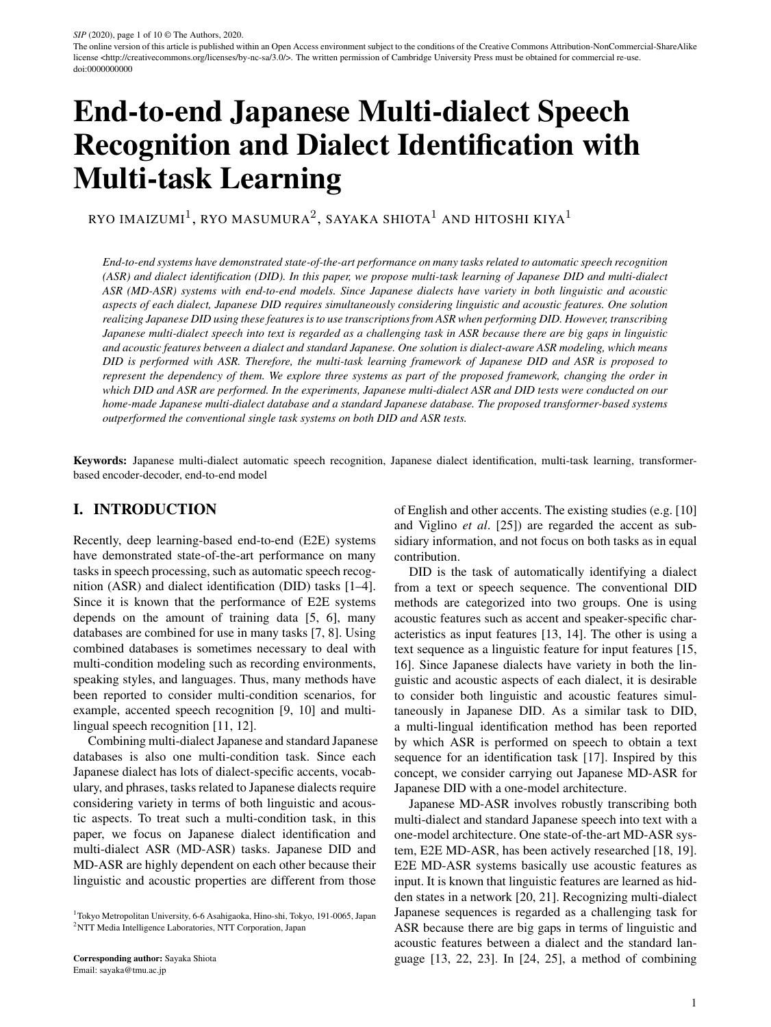14.5%, case slightly degraded from that of DID2ASR. It means that DID2ASR caused over adaptation to dialect. In the DID+ASR case, DID+ASR achieved the lowest CER on the standard-Japanese test, and the CER of DID+ASR on the dialect-only test was the second best. This result indicates that using the probabilistic distribution of dialect labels and controlling the effect of DID improved the reliability of the model in terms of ASR performance.

To investigate the effect of the identification error on the ASR performances, Table 4 shows the CERs for the proposed methods for cases in which the DID results were correct or incorrect. Comparing the correct case with the incorrect one, the CER was lower in the correct case for all proposed methods. From these results, the MD-ASR performance of DID2ASR was the most affected by the DID error because the difference between the correct case and the incorrect one was nine points. ASR2DID and DID+ASR had lower CERs for the incorrect case than DID2ASR. This result indicates that the effect of DID error was mitigated, and ASR2DID and DID+ASR showed robust MD-ASR performances even though the estimation of DID was not correct. Furthermore, the difference between the correct and incorrect cases for DID+ASR was the smallest at 3.6%. The results showed that it was possible to mitigate the effects of DID error by handling dialect labels in a probability distribution.

Treating dialects as a probability distribution made it possible to represent unknown dialects by mixing the registered dialects. Table 5 shows the CERs in the case of recognizing utterances from an unknown dialect. In this experiment, the Kumamoto dialect was regarded as an unknown dialect and eliminated from the joint training data (Dialect+Standard). The joint test data (Dialect+Standard) separated into two groups; "Known" and "Unknown." The "Known" group was the joint test data excluding Kumamoto data, and the "Unknown" test group was that the test data included only Kumamoto data. For known dialects, the results are almost the same as in Table 3. Comparing the conventional method with DID2ASR, the CER of DID2ASR was higher than the conventional method. The reason was that DID2ASR could not deal with the unknown dialect, so the effect of the DID error was serious as shown in Table 4. Since the results showed that ASR2DID estimated dialects after MD-ASR, it could relax the effect of error on unknown dialects. For DID+ASR, the CER of DID+ASR was the lowest. Since DID+ASR represented dialect information as a combination of the registered dialects, it could be considered that the performance for unknown dialects was more robust than DID2ASR and ASR2DID.

## VI. CONCLUSION

In this paper, we propose multi-task learning of Japanese DID and multi-dialect ASR (MD-ASR) systems with endto-end models. For serial estimation of two tasks in one model, DID2ASR and ASR2DID were described, and DID+ASR involved the joint estimation of two tasks. The three methods were able to alleviate the differences between dialects and standard Japanese, and the accuracy of DID and dialect speech recognition was improved by using dialect-specific acoustic information and linguistic information. The experimental results showed that the three proposed methods outperformed the conventional method. From the prospect of the DID performance, ASR2DID had the best performance. When estimating dialect labels, it is useful to obtain linguistic and acoustic information in a series. Therefore, ASR2DID is useful to adopt as a pre-processing system for dialect-aware applications, such as spoken dialogue and entertainment. From the prospect of the MD-ASR performance, DID+ASR had the best CER. Additionally, in the case that the dialects of the input utterances were unknown, DID+ASR improved in performance.

As future work, we will experiment with other networks such as CTC/Attention hybrid system using other dialects. Also, we will experiment with combinations of the proposed methods.

#### **REFERENCES**

- [1] S. Kim, T. Hori, and S. Watanabe, "Joint CTC-attention based end-to-end speech recognition using multi-task learning," in *proc. ICASSP*, 2017, pp. 4835–4839.
- [2] D. Amodei, S. Ananthanarayanan, R. Anubhai, J. Bai, E. Battenberg, C. Case, J. Casper, B. Catanzaro, Q. Cheng, G. Chen *et al.*, "Deep speech 2: End-to-end speech recognition in english and Mandarin," in *proc. ICML*, 2016, pp. 173–182.
- [3] R. Gokay and H. Yalcin, "Improving low resource Turkish speech" recognition with data augmentation and tts," in *proc. SSD*, 2019, pp. 357–360.
- [4] A. Rosenberg, Y. Zhang, B. Ramabhadran, Y. Jia, P. Moreno, Y. Wu, and Z. Wu, "Speech recognition with augmented synthesized speech," in *proc. ASRU*, 2019, pp. 996–1002.
- [5] T. Hayashi, S. Watanabe, Y. Zhang, T. Toda, T. Hori, R. Astudillo, and K. Takeda, "Back-translation-style data augmentation for endto-end ASR," in *proc. SLT*, 2018, pp. 426–433.
- [6] D. S. Park, W. Chan, Y. Zhang, C.-C. Chiu, B. Zoph, E. D. Cubuk, and Q. V. Le, "Specaugment: A simple data augmentation method for automatic speech recognition," in *proc. INTERSPEECH*, 2019, pp. 2613–2617.
- [7] T. Moriya, T. Ochiai, S. Karita, H. Sato, T. Tanaka, T. Ashihara, R. Masumura, Y. Shinohara, and M. Delcroix, "Self-distillation for improving ctc-transformer-based asr systems." in *proc. INTER-SPEECH*, 2020, pp. 546–550.
- [8] M. A. Zissman, "Comparison of four approaches to automatic language identification of telephone speech," *Transaction on speech and audio processing*, vol. 4, no. 1, p. 31, 1996.
- [9] K. Rao and H. Sak, "Multi-accent speech recognition with hierarchical grapheme based models," in *proc. ICASSP*, 2017, pp. 4815–4819.
- [10] A. Jain, M. Upreti, and P. Jyothi, "Improved accented speech recognition using accent embeddings and multi-task learning." in *proc. INTERSPEECH*, 2018, pp. 2454–2458.